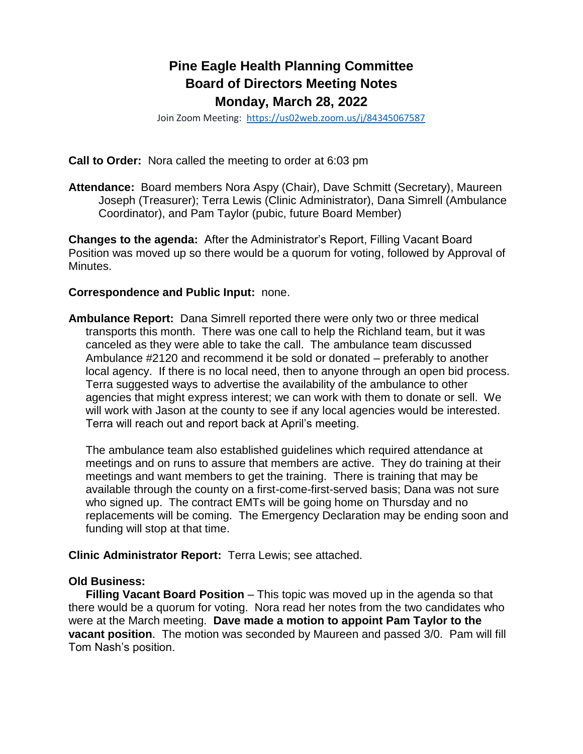# **Pine Eagle Health Planning Committee Board of Directors Meeting Notes Monday, March 28, 2022**

Join Zoom Meeting: <https://us02web.zoom.us/j/84345067587>

**Call to Order:** Nora called the meeting to order at 6:03 pm

**Attendance:** Board members Nora Aspy (Chair), Dave Schmitt (Secretary), Maureen Joseph (Treasurer); Terra Lewis (Clinic Administrator), Dana Simrell (Ambulance Coordinator), and Pam Taylor (pubic, future Board Member)

**Changes to the agenda:** After the Administrator's Report, Filling Vacant Board Position was moved up so there would be a quorum for voting, followed by Approval of Minutes.

#### **Correspondence and Public Input:** none.

**Ambulance Report:** Dana Simrell reported there were only two or three medical transports this month. There was one call to help the Richland team, but it was canceled as they were able to take the call. The ambulance team discussed Ambulance #2120 and recommend it be sold or donated – preferably to another local agency. If there is no local need, then to anyone through an open bid process. Terra suggested ways to advertise the availability of the ambulance to other agencies that might express interest; we can work with them to donate or sell. We will work with Jason at the county to see if any local agencies would be interested. Terra will reach out and report back at April's meeting.

The ambulance team also established guidelines which required attendance at meetings and on runs to assure that members are active. They do training at their meetings and want members to get the training. There is training that may be available through the county on a first-come-first-served basis; Dana was not sure who signed up. The contract EMTs will be going home on Thursday and no replacements will be coming. The Emergency Declaration may be ending soon and funding will stop at that time.

#### **Clinic Administrator Report:** Terra Lewis; see attached.

#### **Old Business:**

**Filling Vacant Board Position** – This topic was moved up in the agenda so that there would be a quorum for voting. Nora read her notes from the two candidates who were at the March meeting. **Dave made a motion to appoint Pam Taylor to the vacant position**. The motion was seconded by Maureen and passed 3/0. Pam will fill Tom Nash's position.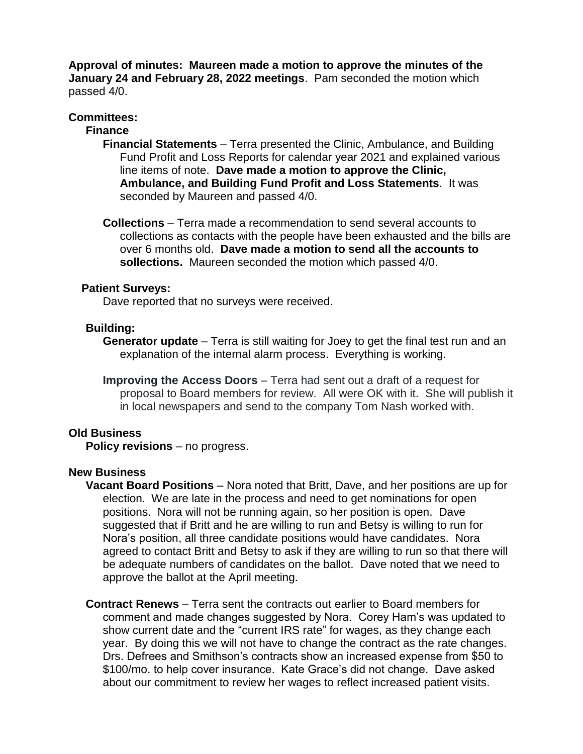**Approval of minutes: Maureen made a motion to approve the minutes of the January 24 and February 28, 2022 meetings**. Pam seconded the motion which passed 4/0.

## **Committees:**

## **Finance**

- **Financial Statements** Terra presented the Clinic, Ambulance, and Building Fund Profit and Loss Reports for calendar year 2021 and explained various line items of note. **Dave made a motion to approve the Clinic, Ambulance, and Building Fund Profit and Loss Statements**. It was seconded by Maureen and passed 4/0.
- **Collections** Terra made a recommendation to send several accounts to collections as contacts with the people have been exhausted and the bills are over 6 months old. **Dave made a motion to send all the accounts to sollections.** Maureen seconded the motion which passed 4/0.

## **Patient Surveys:**

Dave reported that no surveys were received.

## **Building:**

**Generator update** – Terra is still waiting for Joey to get the final test run and an explanation of the internal alarm process. Everything is working.

**Improving the Access Doors** – Terra had sent out a draft of a request for proposal to Board members for review. All were OK with it. She will publish it in local newspapers and send to the company Tom Nash worked with.

#### **Old Business**

**Policy revisions** – no progress.

# **New Business**

- **Vacant Board Positions** Nora noted that Britt, Dave, and her positions are up for election. We are late in the process and need to get nominations for open positions. Nora will not be running again, so her position is open. Dave suggested that if Britt and he are willing to run and Betsy is willing to run for Nora's position, all three candidate positions would have candidates. Nora agreed to contact Britt and Betsy to ask if they are willing to run so that there will be adequate numbers of candidates on the ballot. Dave noted that we need to approve the ballot at the April meeting.
- **Contract Renews** Terra sent the contracts out earlier to Board members for comment and made changes suggested by Nora. Corey Ham's was updated to show current date and the "current IRS rate" for wages, as they change each year. By doing this we will not have to change the contract as the rate changes. Drs. Defrees and Smithson's contracts show an increased expense from \$50 to \$100/mo. to help cover insurance. Kate Grace's did not change. Dave asked about our commitment to review her wages to reflect increased patient visits.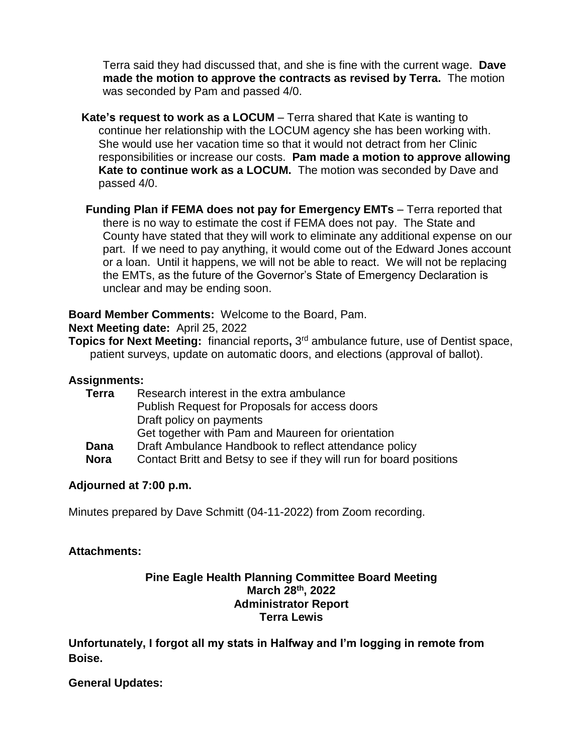Terra said they had discussed that, and she is fine with the current wage. **Dave made the motion to approve the contracts as revised by Terra.** The motion was seconded by Pam and passed 4/0.

**Kate's request to work as a LOCUM** – Terra shared that Kate is wanting to continue her relationship with the LOCUM agency she has been working with. She would use her vacation time so that it would not detract from her Clinic responsibilities or increase our costs. **Pam made a motion to approve allowing Kate to continue work as a LOCUM.** The motion was seconded by Dave and passed 4/0.

**Funding Plan if FEMA does not pay for Emergency EMTs** – Terra reported that there is no way to estimate the cost if FEMA does not pay. The State and County have stated that they will work to eliminate any additional expense on our part. If we need to pay anything, it would come out of the Edward Jones account or a loan. Until it happens, we will not be able to react. We will not be replacing the EMTs, as the future of the Governor's State of Emergency Declaration is unclear and may be ending soon.

**Board Member Comments:** Welcome to the Board, Pam.

**Next Meeting date:** April 25, 2022

**Topics for Next Meeting:** financial reports**,** 3 rd ambulance future, use of Dentist space, patient surveys, update on automatic doors, and elections (approval of ballot).

# **Assignments:**

| Research interest in the extra ambulance                            |
|---------------------------------------------------------------------|
| Publish Request for Proposals for access doors                      |
| Draft policy on payments                                            |
| Get together with Pam and Maureen for orientation                   |
| Draft Ambulance Handbook to reflect attendance policy               |
| Contact Britt and Betsy to see if they will run for board positions |
|                                                                     |

# **Adjourned at 7:00 p.m.**

Minutes prepared by Dave Schmitt (04-11-2022) from Zoom recording.

# **Attachments:**

## **Pine Eagle Health Planning Committee Board Meeting March 28th, 2022 Administrator Report Terra Lewis**

**Unfortunately, I forgot all my stats in Halfway and I'm logging in remote from Boise.** 

# **General Updates:**